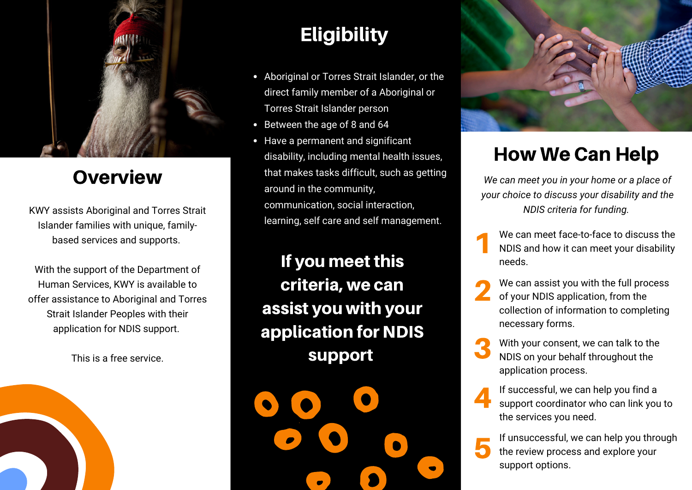

### **Overview**

KWY assists Aboriginal and Torres Strait Islander families with unique, familybased services and supports.

With the support of the Department of Human Services, KWY is available to offer assistance to Aboriginal and Torres Strait Islander Peoples with their application for NDIS support.

# This is a free service.

### **Eligibility**

- Aboriginal or Torres Strait Islander, or the direct family member of a Aboriginal or Torres Strait Islander person
- Between the age of 8 and 64
- Have a permanent and significant disability, including mental health issues, that makes tasks difficult, such as getting around in the community, communication, social interaction, learning, self care and self management.

If you meet this criteria, we can assist you with your application for NDIS support



## How We Can Help

*We can meet you in your home or a place of your choice to discuss your disability and the NDIS criteria for funding.*

- 1 We can meet face-to-face to discuss the NDIS and how it can meet your disability needs.
- 2 We can assist you with the full process of your NDIS application, from the collection of information to completing necessary forms.
- 3 With your consent, we can talk to the NDIS on your behalf throughout the application process.

4 If successful, we can help you find a support coordinator who can link you to the services you need.

5 If unsuccessful, we can help you through the review process and explore your support options.